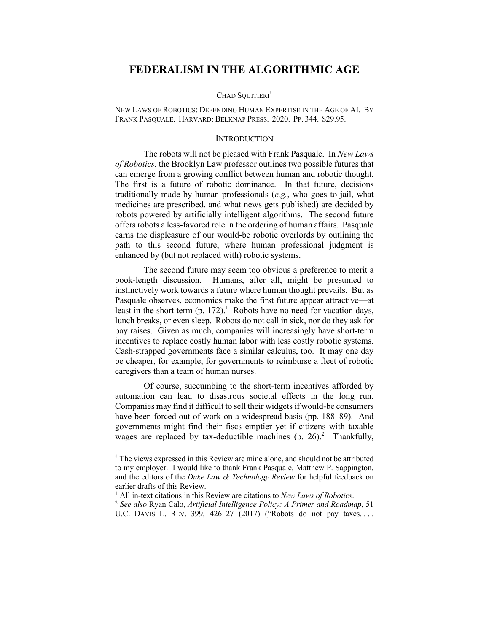# **FEDERALISM IN THE ALGORITHMIC AGE**

#### CHAD SOUITIERI<sup>†</sup>

NEW LAWS OF ROBOTICS: DEFENDING HUMAN EXPERTISE IN THE AGE OF AI. BY FRANK PASQUALE. HARVARD: BELKNAP PRESS. 2020. PP. 344. \$29.95.

#### **INTRODUCTION**

The robots will not be pleased with Frank Pasquale. In *New Laws of Robotics*, the Brooklyn Law professor outlines two possible futures that can emerge from a growing conflict between human and robotic thought. The first is a future of robotic dominance. In that future, decisions traditionally made by human professionals (*e.g.*, who goes to jail, what medicines are prescribed, and what news gets published) are decided by robots powered by artificially intelligent algorithms. The second future offers robots a less-favored role in the ordering of human affairs. Pasquale earns the displeasure of our would-be robotic overlords by outlining the path to this second future, where human professional judgment is enhanced by (but not replaced with) robotic systems.

The second future may seem too obvious a preference to merit a book-length discussion. Humans, after all, might be presumed to instinctively work towards a future where human thought prevails. But as Pasquale observes, economics make the first future appear attractive—at least in the short term  $(p. 172)^{1}$  Robots have no need for vacation days, lunch breaks, or even sleep. Robots do not call in sick, nor do they ask for pay raises. Given as much, companies will increasingly have short-term incentives to replace costly human labor with less costly robotic systems. Cash-strapped governments face a similar calculus, too. It may one day be cheaper, for example, for governments to reimburse a fleet of robotic caregivers than a team of human nurses.

Of course, succumbing to the short-term incentives afforded by automation can lead to disastrous societal effects in the long run. Companies may find it difficult to sell their widgets if would-be consumers have been forced out of work on a widespread basis (pp. 188–89). And governments might find their fiscs emptier yet if citizens with taxable wages are replaced by tax-deductible machines (p. 26).<sup>2</sup> Thankfully,

<sup>†</sup> The views expressed in this Review are mine alone, and should not be attributed to my employer. I would like to thank Frank Pasquale, Matthew P. Sappington, and the editors of the *Duke Law & Technology Review* for helpful feedback on earlier drafts of this Review.

<sup>1</sup> All in-text citations in this Review are citations to *New Laws of Robotics*. 2 *See also* Ryan Calo, *Artificial Intelligence Policy: A Primer and Roadmap*, 51 U.C. DAVIS L. REV. 399, 426-27 (2017) ("Robots do not pay taxes....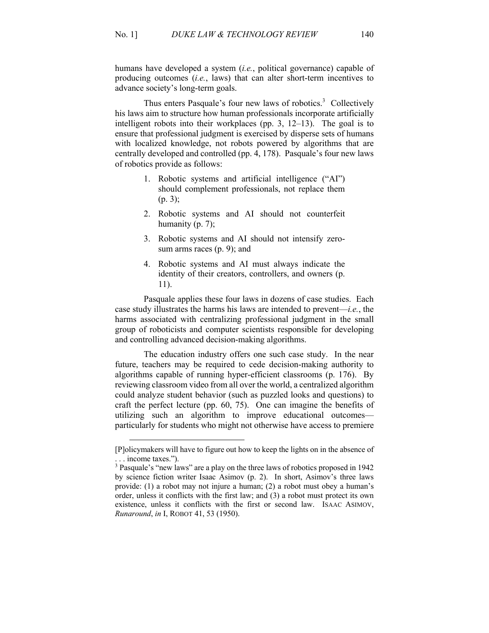humans have developed a system (*i.e.*, political governance) capable of producing outcomes (*i.e.*, laws) that can alter short-term incentives to advance society's long-term goals.

Thus enters Pasquale's four new laws of robotics.<sup>3</sup> Collectively his laws aim to structure how human professionals incorporate artificially intelligent robots into their workplaces (pp. 3, 12–13). The goal is to ensure that professional judgment is exercised by disperse sets of humans with localized knowledge, not robots powered by algorithms that are centrally developed and controlled (pp. 4, 178). Pasquale's four new laws of robotics provide as follows:

- 1. Robotic systems and artificial intelligence ("AI") should complement professionals, not replace them (p. 3);
- 2. Robotic systems and AI should not counterfeit humanity (p. 7);
- 3. Robotic systems and AI should not intensify zerosum arms races (p. 9); and
- 4. Robotic systems and AI must always indicate the identity of their creators, controllers, and owners (p. 11).

Pasquale applies these four laws in dozens of case studies. Each case study illustrates the harms his laws are intended to prevent—*i.e.*, the harms associated with centralizing professional judgment in the small group of roboticists and computer scientists responsible for developing and controlling advanced decision-making algorithms.

The education industry offers one such case study. In the near future, teachers may be required to cede decision-making authority to algorithms capable of running hyper-efficient classrooms (p. 176). By reviewing classroom video from all over the world, a centralized algorithm could analyze student behavior (such as puzzled looks and questions) to craft the perfect lecture (pp. 60, 75). One can imagine the benefits of utilizing such an algorithm to improve educational outcomes particularly for students who might not otherwise have access to premiere

<sup>[</sup>P]olicymakers will have to figure out how to keep the lights on in the absence of

<sup>...</sup> income taxes.").<br><sup>3</sup> Pasquale's "new laws" are a play on the three laws of robotics proposed in 1942 by science fiction writer Isaac Asimov (p. 2). In short, Asimov's three laws provide: (1) a robot may not injure a human; (2) a robot must obey a human's order, unless it conflicts with the first law; and (3) a robot must protect its own existence, unless it conflicts with the first or second law. ISAAC ASIMOV, *Runaround*, *in* I, ROBOT 41, 53 (1950).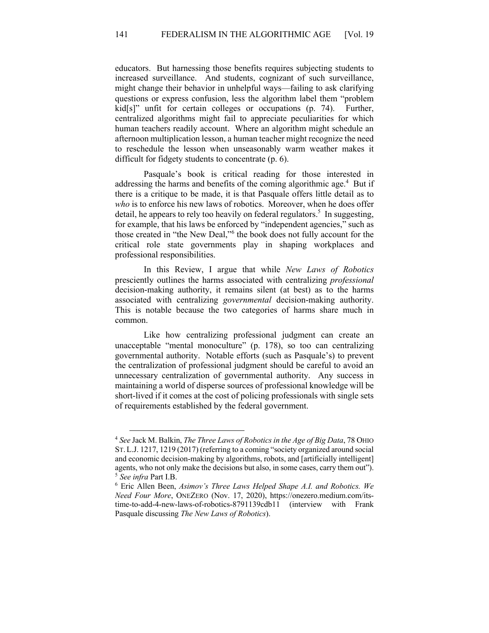141 FEDERALISM IN THE ALGORITHMIC AGE [Vol. 19

educators. But harnessing those benefits requires subjecting students to increased surveillance. And students, cognizant of such surveillance, might change their behavior in unhelpful ways—failing to ask clarifying questions or express confusion, less the algorithm label them "problem kid[s]" unfit for certain colleges or occupations (p. 74). Further, centralized algorithms might fail to appreciate peculiarities for which human teachers readily account. Where an algorithm might schedule an afternoon multiplication lesson, a human teacher might recognize the need to reschedule the lesson when unseasonably warm weather makes it difficult for fidgety students to concentrate (p. 6).

Pasquale's book is critical reading for those interested in addressing the harms and benefits of the coming algorithmic age.<sup>4</sup> But if there is a critique to be made, it is that Pasquale offers little detail as to *who* is to enforce his new laws of robotics. Moreover, when he does offer detail, he appears to rely too heavily on federal regulators.<sup>5</sup> In suggesting, for example, that his laws be enforced by "independent agencies," such as those created in "the New Deal,"<sup>6</sup> the book does not fully account for the critical role state governments play in shaping workplaces and professional responsibilities.

In this Review, I argue that while *New Laws of Robotics* presciently outlines the harms associated with centralizing *professional* decision-making authority, it remains silent (at best) as to the harms associated with centralizing *governmental* decision-making authority. This is notable because the two categories of harms share much in common.

Like how centralizing professional judgment can create an unacceptable "mental monoculture" (p. 178), so too can centralizing governmental authority. Notable efforts (such as Pasquale's) to prevent the centralization of professional judgment should be careful to avoid an unnecessary centralization of governmental authority. Any success in maintaining a world of disperse sources of professional knowledge will be short-lived if it comes at the cost of policing professionals with single sets of requirements established by the federal government.

<sup>4</sup> *See* Jack M. Balkin, *The Three Laws of Robotics in the Age of Big Data*, 78 OHIO ST. L.J. 1217, 1219 (2017) (referring to a coming "society organized around social and economic decision-making by algorithms, robots, and [artificially intelligent] agents, who not only make the decisions but also, in some cases, carry them out"). <sup>5</sup> *See infra* Part I.B.

<sup>6</sup> Eric Allen Been, *Asimov's Three Laws Helped Shape A.I. and Robotics. We Need Four More*, ONEZERO (Nov. 17, 2020), https://onezero.medium.com/itstime-to-add-4-new-laws-of-robotics-8791139cdb11 (interview with Frank Pasquale discussing *The New Laws of Robotics*).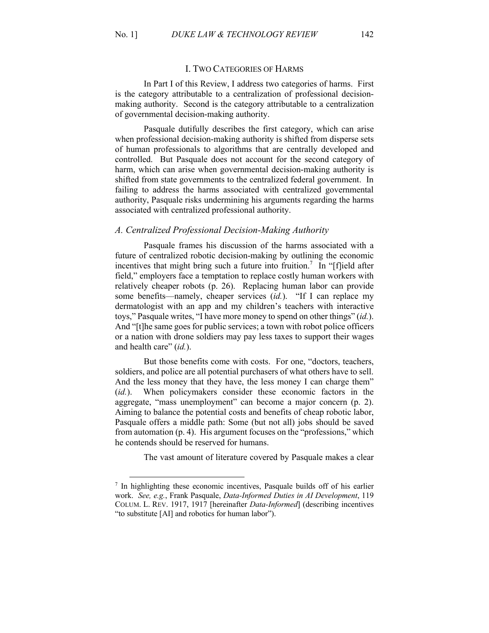In Part I of this Review, I address two categories of harms. First is the category attributable to a centralization of professional decisionmaking authority. Second is the category attributable to a centralization of governmental decision-making authority.

Pasquale dutifully describes the first category, which can arise when professional decision-making authority is shifted from disperse sets of human professionals to algorithms that are centrally developed and controlled. But Pasquale does not account for the second category of harm, which can arise when governmental decision-making authority is shifted from state governments to the centralized federal government. In failing to address the harms associated with centralized governmental authority, Pasquale risks undermining his arguments regarding the harms associated with centralized professional authority.

### *A. Centralized Professional Decision-Making Authority*

Pasquale frames his discussion of the harms associated with a future of centralized robotic decision-making by outlining the economic incentives that might bring such a future into fruition.<sup>7</sup> In "[f]ield after field," employers face a temptation to replace costly human workers with relatively cheaper robots (p. 26). Replacing human labor can provide some benefits—namely, cheaper services (*id.*). "If I can replace my dermatologist with an app and my children's teachers with interactive toys," Pasquale writes, "I have more money to spend on other things" (*id.*). And "[t]he same goes for public services; a town with robot police officers or a nation with drone soldiers may pay less taxes to support their wages and health care" (*id.*).

But those benefits come with costs. For one, "doctors, teachers, soldiers, and police are all potential purchasers of what others have to sell. And the less money that they have, the less money I can charge them" (*id.*). When policymakers consider these economic factors in the aggregate, "mass unemployment" can become a major concern (p. 2). Aiming to balance the potential costs and benefits of cheap robotic labor, Pasquale offers a middle path: Some (but not all) jobs should be saved from automation (p. 4). His argument focuses on the "professions," which he contends should be reserved for humans.

The vast amount of literature covered by Pasquale makes a clear

<sup>&</sup>lt;sup>7</sup> In highlighting these economic incentives, Pasquale builds off of his earlier work. *See, e.g.*, Frank Pasquale, *Data-Informed Duties in AI Development*, 119 COLUM. L. REV. 1917, 1917 [hereinafter *Data-Informed*] (describing incentives "to substitute [AI] and robotics for human labor").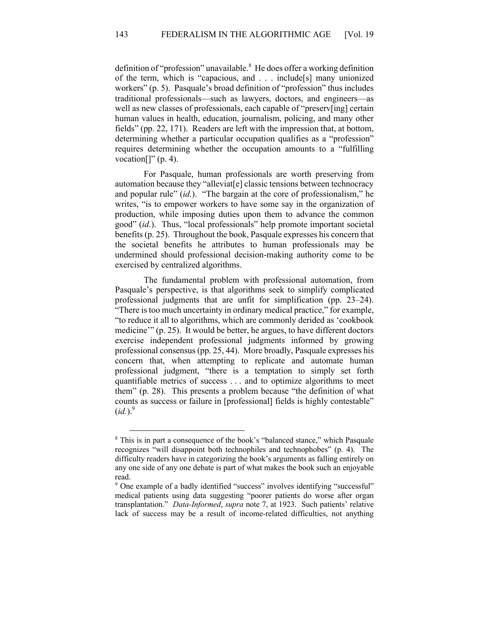definition of "profession" unavailable.<sup>8</sup> He does offer a working definition of the term, which is "capacious, and . . . include[s] many unionized workers" (p. 5). Pasquale's broad definition of "profession" thus includes traditional professionals—such as lawyers, doctors, and engineers—as well as new classes of professionals, each capable of "preserv[ing] certain human values in health, education, journalism, policing, and many other fields" (pp. 22, 171). Readers are left with the impression that, at bottom, determining whether a particular occupation qualifies as a "profession" requires determining whether the occupation amounts to a "fulfilling vocation $[]$ " (p. 4).

For Pasquale, human professionals are worth preserving from automation because they "alleviat[e] classic tensions between technocracy and popular rule" (*id.*). "The bargain at the core of professionalism," he writes, "is to empower workers to have some say in the organization of production, while imposing duties upon them to advance the common good" (*id.*). Thus, "local professionals" help promote important societal benefits (p. 25). Throughout the book, Pasquale expresses his concern that the societal benefits he attributes to human professionals may be undermined should professional decision-making authority come to be exercised by centralized algorithms.

The fundamental problem with professional automation, from Pasquale's perspective, is that algorithms seek to simplify complicated professional judgments that are unfit for simplification (pp. 23–24). "There is too much uncertainty in ordinary medical practice," for example, "to reduce it all to algorithms, which are commonly derided as 'cookbook medicine'" (p. 25). It would be better, he argues, to have different doctors exercise independent professional judgments informed by growing professional consensus (pp. 25, 44). More broadly, Pasquale expresses his concern that, when attempting to replicate and automate human professional judgment, "there is a temptation to simply set forth quantifiable metrics of success . . . and to optimize algorithms to meet them" (p. 28). This presents a problem because "the definition of what counts as success or failure in [professional] fields is highly contestable"  $(id.)^9$ 

<sup>8</sup> This is in part a consequence of the book's "balanced stance," which Pasquale recognizes "will disappoint both technophiles and technophobes" (p. 4). The difficulty readers have in categorizing the book's arguments as falling entirely on any one side of any one debate is part of what makes the book such an enjoyable read.

<sup>9</sup> One example of a badly identified "success" involves identifying "successful" medical patients using data suggesting "poorer patients do worse after organ transplantation." *Data-Informed*, *supra* note 7, at 1923. Such patients' relative lack of success may be a result of income-related difficulties, not anything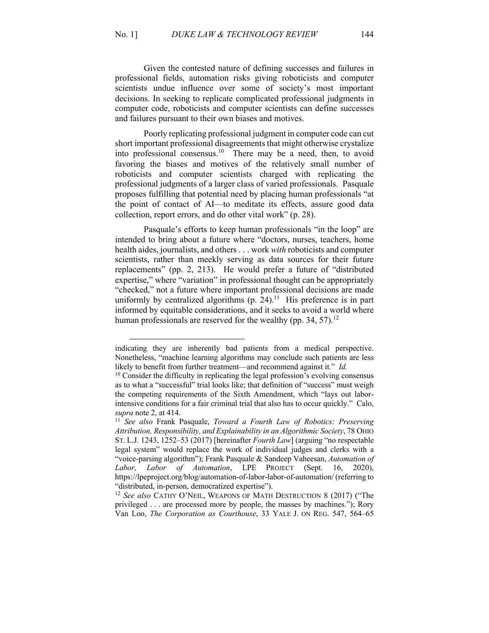Given the contested nature of defining successes and failures in professional fields, automation risks giving roboticists and computer scientists undue influence over some of society's most important decisions. In seeking to replicate complicated professional judgments in computer code, roboticists and computer scientists can define successes and failures pursuant to their own biases and motives.

Poorly replicating professional judgment in computer code can cut short important professional disagreements that might otherwise crystalize into professional consensus. <sup>10</sup> There may be a need, then, to avoid favoring the biases and motives of the relatively small number of roboticists and computer scientists charged with replicating the professional judgments of a larger class of varied professionals. Pasquale proposes fulfilling that potential need by placing human professionals "at the point of contact of AI—to meditate its effects, assure good data collection, report errors, and do other vital work" (p. 28).

Pasquale's efforts to keep human professionals "in the loop" are intended to bring about a future where "doctors, nurses, teachers, home health aides, journalists, and others . . . work *with* roboticists and computer scientists, rather than meekly serving as data sources for their future replacements" (pp. 2, 213). He would prefer a future of "distributed expertise," where "variation" in professional thought can be appropriately "checked," not a future where important professional decisions are made uniformly by centralized algorithms  $(p, 24)^{11}$  His preference is in part informed by equitable considerations, and it seeks to avoid a world where human professionals are reserved for the wealthy (pp. 34, 57).<sup>12</sup>

indicating they are inherently bad patients from a medical perspective. Nonetheless, "machine learning algorithms may conclude such patients are less likely to benefit from further treatment—and recommend against it." *Id.*

 $10$  Consider the difficulty in replicating the legal profession's evolving consensus as to what a "successful" trial looks like; that definition of "success" must weigh the competing requirements of the Sixth Amendment, which "lays out laborintensive conditions for a fair criminal trial that also has to occur quickly." Calo, *supra* note 2, at 414. 11 *See also* Frank Pasquale, *Toward a Fourth Law of Robotics: Preserving* 

*Attribution, Responsibility, and Explainability in an Algorithmic Society*, 78 OHIO ST. L.J. 1243, 1252–53 (2017) [hereinafter *Fourth Law*] (arguing "no respectable legal system" would replace the work of individual judges and clerks with a "voice-parsing algorithm"); Frank Pasquale & Sandeep Vaheesan, *Automation of Labor, Labor of Automation*, LPE PROJECT (Sept. 16, 2020), https://lpeproject.org/blog/automation-of-labor-labor-of-automation/ (referring to "distributed, in-person, democratized expertise").

<sup>12</sup> *See also* CATHY O'NEIL, WEAPONS OF MATH DESTRUCTION 8 (2017) ("The privileged . . . are processed more by people, the masses by machines."); Rory Van Loo, *The Corporation as Courthouse*, 33 YALE J. ON REG. 547, 564–65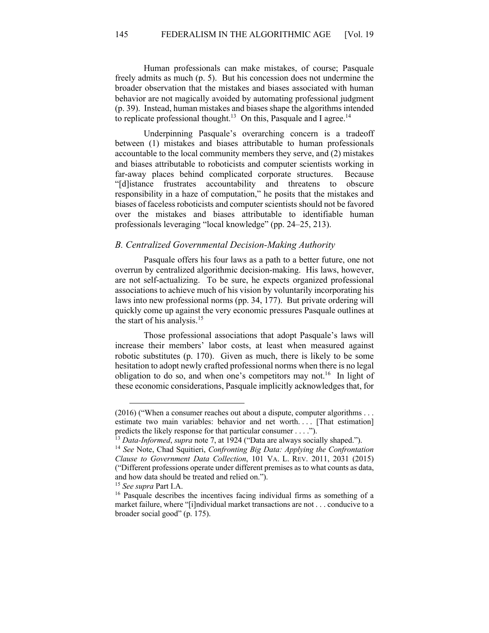Human professionals can make mistakes, of course; Pasquale freely admits as much (p. 5). But his concession does not undermine the broader observation that the mistakes and biases associated with human behavior are not magically avoided by automating professional judgment (p. 39). Instead, human mistakes and biases shape the algorithms intended to replicate professional thought.<sup>13</sup> On this, Pasquale and I agree.<sup>14</sup>

Underpinning Pasquale's overarching concern is a tradeoff between (1) mistakes and biases attributable to human professionals accountable to the local community members they serve, and (2) mistakes and biases attributable to roboticists and computer scientists working in far-away places behind complicated corporate structures. Because "[d]istance frustrates accountability and threatens to obscure responsibility in a haze of computation," he posits that the mistakes and biases of faceless roboticists and computer scientists should not be favored over the mistakes and biases attributable to identifiable human professionals leveraging "local knowledge" (pp. 24–25, 213).

### *B. Centralized Governmental Decision-Making Authority*

Pasquale offers his four laws as a path to a better future, one not overrun by centralized algorithmic decision-making. His laws, however, are not self-actualizing. To be sure, he expects organized professional associations to achieve much of his vision by voluntarily incorporating his laws into new professional norms (pp. 34, 177). But private ordering will quickly come up against the very economic pressures Pasquale outlines at the start of his analysis.<sup>15</sup>

Those professional associations that adopt Pasquale's laws will increase their members' labor costs, at least when measured against robotic substitutes (p. 170). Given as much, there is likely to be some hesitation to adopt newly crafted professional norms when there is no legal obligation to do so, and when one's competitors may not.<sup>16</sup> In light of these economic considerations, Pasquale implicitly acknowledges that, for

<sup>(2016) (&</sup>quot;When a consumer reaches out about a dispute, computer algorithms . . . estimate two main variables: behavior and net worth.... [That estimation] predicts the likely response for that particular consumer . . . .").<br><sup>13</sup> Data-Informed, supra note 7, at 1924 ("Data are always socially shaped.").<br><sup>14</sup> See Note, Chad Squitieri, *Confronting Big Data: Applying the Confro* 

*Clause to Government Data Collection*, 101 VA. L. REV. 2011, 2031 (2015) ("Different professions operate under different premises as to what counts as data, and how data should be treated and relied on.").

<sup>15</sup> *See supra* Part I.A.

<sup>16</sup> Pasquale describes the incentives facing individual firms as something of a market failure, where "[i]ndividual market transactions are not . . . conducive to a broader social good" (p. 175).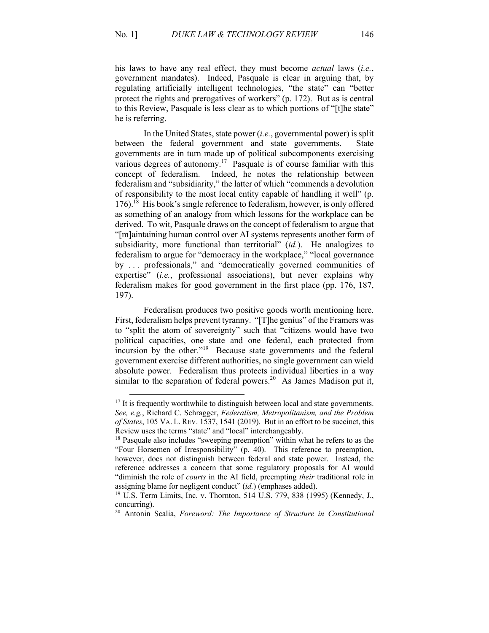his laws to have any real effect, they must become *actual* laws (*i.e.*, government mandates). Indeed, Pasquale is clear in arguing that, by regulating artificially intelligent technologies, "the state" can "better protect the rights and prerogatives of workers" (p. 172). But as is central to this Review, Pasquale is less clear as to which portions of "[t]he state" he is referring.

In the United States, state power (*i.e.*, governmental power) is split between the federal government and state governments. State governments are in turn made up of political subcomponents exercising various degrees of autonomy.<sup>17</sup> Pasquale is of course familiar with this concept of federalism. Indeed, he notes the relationship between federalism and "subsidiarity," the latter of which "commends a devolution of responsibility to the most local entity capable of handling it well" (p.  $176$ .<sup>18</sup> His book's single reference to federalism, however, is only offered as something of an analogy from which lessons for the workplace can be derived. To wit, Pasquale draws on the concept of federalism to argue that "[m]aintaining human control over AI systems represents another form of subsidiarity, more functional than territorial" (*id.*). He analogizes to federalism to argue for "democracy in the workplace," "local governance by . . . professionals," and "democratically governed communities of expertise" (*i.e.*, professional associations), but never explains why federalism makes for good government in the first place (pp. 176, 187, 197).

Federalism produces two positive goods worth mentioning here. First, federalism helps prevent tyranny. "[T]he genius" of the Framers was to "split the atom of sovereignty" such that "citizens would have two political capacities, one state and one federal, each protected from incursion by the other."<sup>19</sup> Because state governments and the federal government exercise different authorities, no single government can wield absolute power. Federalism thus protects individual liberties in a way similar to the separation of federal powers.<sup>20</sup> As James Madison put it,

 $17$  It is frequently worthwhile to distinguish between local and state governments. *See, e.g.*, Richard C. Schragger, *Federalism, Metropolitanism, and the Problem of States*, 105 VA. L. REV. 1537, 1541 (2019).But in an effort to be succinct, this Review uses the terms "state" and "local" interchangeably.

<sup>&</sup>lt;sup>18</sup> Pasquale also includes "sweeping preemption" within what he refers to as the "Four Horsemen of Irresponsibility" (p. 40). This reference to preemption, however, does not distinguish between federal and state power. Instead, the reference addresses a concern that some regulatory proposals for AI would "diminish the role of *courts* in the AI field, preempting *their* traditional role in assigning blame for negligent conduct" (*id.*) (emphases added).

<sup>19</sup> U.S. Term Limits, Inc. v. Thornton, 514 U.S. 779, 838 (1995) (Kennedy, J., concurring).

<sup>20</sup> Antonin Scalia, *Foreword: The Importance of Structure in Constitutional*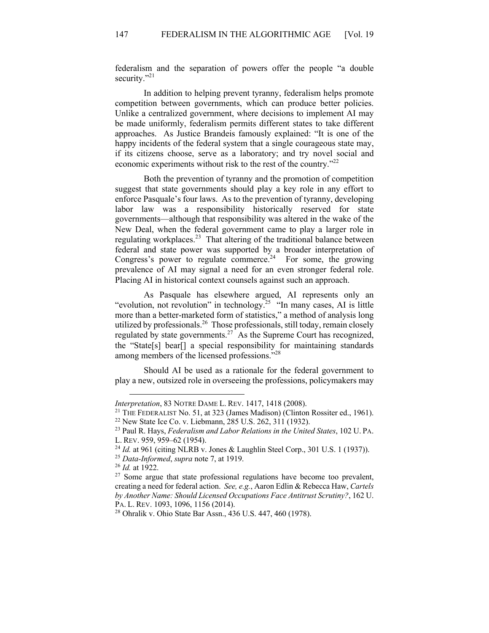federalism and the separation of powers offer the people "a double security."<sup>21</sup>

In addition to helping prevent tyranny, federalism helps promote competition between governments, which can produce better policies. Unlike a centralized government, where decisions to implement AI may be made uniformly, federalism permits different states to take different approaches. As Justice Brandeis famously explained: "It is one of the happy incidents of the federal system that a single courageous state may, if its citizens choose, serve as a laboratory; and try novel social and economic experiments without risk to the rest of the country."<sup>22</sup>

Both the prevention of tyranny and the promotion of competition suggest that state governments should play a key role in any effort to enforce Pasquale's four laws. As to the prevention of tyranny, developing labor law was a responsibility historically reserved for state governments—although that responsibility was altered in the wake of the New Deal, when the federal government came to play a larger role in regulating workplaces.<sup>23</sup> That altering of the traditional balance between federal and state power was supported by a broader interpretation of Congress's power to regulate commerce.<sup>24</sup> For some, the growing prevalence of AI may signal a need for an even stronger federal role. Placing AI in historical context counsels against such an approach.

As Pasquale has elsewhere argued, AI represents only an "evolution, not revolution" in technology.<sup>25</sup> "In many cases, AI is little more than a better-marketed form of statistics," a method of analysis long utilized by professionals.<sup>26</sup> Those professionals, still today, remain closely regulated by state governments. $27$  As the Supreme Court has recognized, the "State[s] bear[] a special responsibility for maintaining standards among members of the licensed professions."28

Should AI be used as a rationale for the federal government to play a new, outsized role in overseeing the professions, policymakers may

*Interpretation*, 83 NOTRE DAME L. REV. 1417, 1418 (2008).

<sup>&</sup>lt;sup>21</sup> THE FEDERALIST No. 51, at 323 (James Madison) (Clinton Rossiter ed., 1961).

<sup>22</sup> New State Ice Co. v. Liebmann, 285 U.S. 262, 311 (1932).

<sup>23</sup> Paul R. Hays, *Federalism and Labor Relations in the United States*, 102 U. PA. L. REV. 959, 959–62 (1954).

<sup>&</sup>lt;sup>24</sup> *Id.* at 961 (citing NLRB v. Jones & Laughlin Steel Corp., 301 U.S. 1 (1937)).

<sup>25</sup> *Data-Informed*, *supra* note 7, at 1919. 26 *Id.* at 1922.

<sup>&</sup>lt;sup>27</sup> Some argue that state professional regulations have become too prevalent, creating a need for federal action. *See, e.g.*, Aaron Edlin & Rebecca Haw, *Cartels by Another Name: Should Licensed Occupations Face Antitrust Scrutiny?*, 162 U. PA. L. REV. 1093, 1096, 1156 (2014). 28 Ohralik v. Ohio State Bar Assn., 436 U.S. 447, 460 (1978).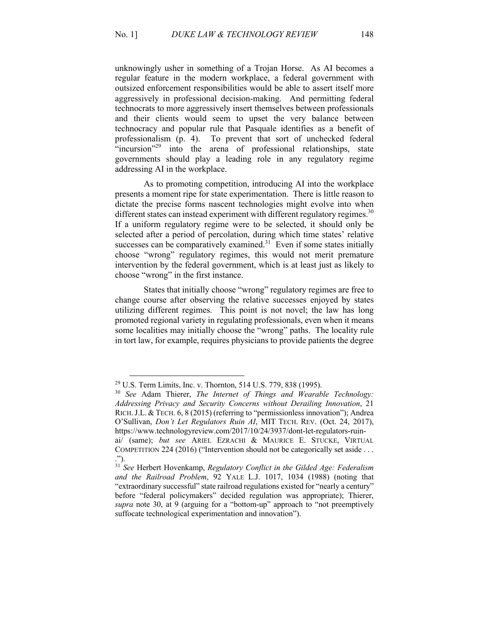unknowingly usher in something of a Trojan Horse. As AI becomes a regular feature in the modern workplace, a federal government with outsized enforcement responsibilities would be able to assert itself more aggressively in professional decision-making. And permitting federal technocrats to more aggressively insert themselves between professionals and their clients would seem to upset the very balance between technocracy and popular rule that Pasquale identifies as a benefit of professionalism (p. 4). To prevent that sort of unchecked federal "incursion"<sup>29</sup> into the arena of professional relationships, state governments should play a leading role in any regulatory regime addressing AI in the workplace.

As to promoting competition, introducing AI into the workplace presents a moment ripe for state experimentation. There is little reason to dictate the precise forms nascent technologies might evolve into when different states can instead experiment with different regulatory regimes.<sup>30</sup> If a uniform regulatory regime were to be selected, it should only be selected after a period of percolation, during which time states' relative successes can be comparatively examined.<sup>31</sup> Even if some states initially choose "wrong" regulatory regimes, this would not merit premature intervention by the federal government, which is at least just as likely to choose "wrong" in the first instance.

States that initially choose "wrong" regulatory regimes are free to change course after observing the relative successes enjoyed by states utilizing different regimes. This point is not novel; the law has long promoted regional variety in regulating professionals, even when it means some localities may initially choose the "wrong" paths. The locality rule in tort law, for example, requires physicians to provide patients the degree

<sup>29</sup> U.S. Term Limits, Inc. v. Thornton, 514 U.S. 779, 838 (1995).

<sup>30</sup> *See* Adam Thierer, *The Internet of Things and Wearable Technology: Addressing Privacy and Security Concerns without Derailing Innovation*, 21 RICH.J.L. & TECH. 6, 8 (2015) (referring to "permissionless innovation"); Andrea O'Sullivan, *Don't Let Regulators Ruin AI*, MIT TECH. REV. (Oct. 24, 2017), https://www.technologyreview.com/2017/10/24/3937/dont-let-regulators-ruinai/ (same); *but see* ARIEL EZRACHI & MAURICE E. STUCKE, VIRTUAL COMPETITION 224 (2016) ("Intervention should not be categorically set aside . . .

<sup>.&</sup>quot;).

<sup>31</sup> *See* Herbert Hovenkamp, *Regulatory Conflict in the Gilded Age: Federalism and the Railroad Problem*, 92 YALE L.J. 1017, 1034 (1988) (noting that "extraordinary successful" state railroad regulations existed for "nearly a century" before "federal policymakers" decided regulation was appropriate); Thierer, *supra* note 30, at 9 (arguing for a "bottom-up" approach to "not preemptively suffocate technological experimentation and innovation").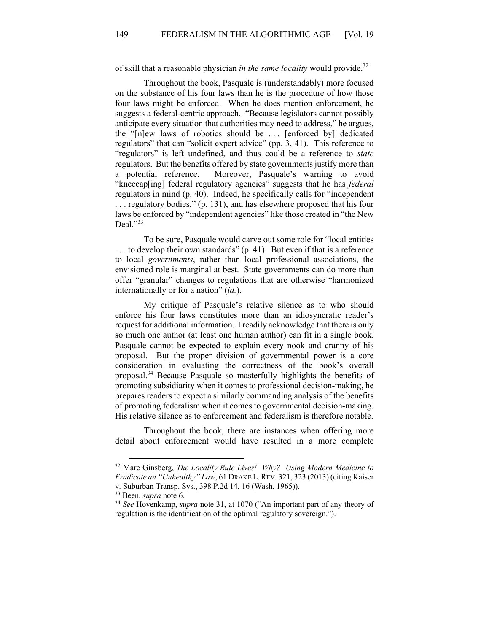of skill that a reasonable physician *in the same locality* would provide.32

Throughout the book, Pasquale is (understandably) more focused on the substance of his four laws than he is the procedure of how those four laws might be enforced. When he does mention enforcement, he suggests a federal-centric approach. "Because legislators cannot possibly anticipate every situation that authorities may need to address," he argues, the "[n]ew laws of robotics should be . . . [enforced by] dedicated regulators" that can "solicit expert advice" (pp. 3, 41). This reference to "regulators" is left undefined, and thus could be a reference to *state* regulators. But the benefits offered by state governments justify more than a potential reference. Moreover, Pasquale's warning to avoid "kneecap[ing] federal regulatory agencies" suggests that he has *federal* regulators in mind (p. 40). Indeed, he specifically calls for "independent . . . regulatory bodies," (p. 131), and has elsewhere proposed that his four laws be enforced by "independent agencies" like those created in "the New Deal."33

To be sure, Pasquale would carve out some role for "local entities ... to develop their own standards" (p. 41). But even if that is a reference to local *governments*, rather than local professional associations, the envisioned role is marginal at best. State governments can do more than offer "granular" changes to regulations that are otherwise "harmonized internationally or for a nation" (*id.*).

My critique of Pasquale's relative silence as to who should enforce his four laws constitutes more than an idiosyncratic reader's request for additional information. I readily acknowledge that there is only so much one author (at least one human author) can fit in a single book. Pasquale cannot be expected to explain every nook and cranny of his proposal. But the proper division of governmental power is a core consideration in evaluating the correctness of the book's overall proposal.<sup>34</sup> Because Pasquale so masterfully highlights the benefits of promoting subsidiarity when it comes to professional decision-making, he prepares readers to expect a similarly commanding analysis of the benefits of promoting federalism when it comes to governmental decision-making. His relative silence as to enforcement and federalism is therefore notable.

Throughout the book, there are instances when offering more detail about enforcement would have resulted in a more complete

<sup>32</sup> Marc Ginsberg, *The Locality Rule Lives! Why? Using Modern Medicine to Eradicate an "Unhealthy" Law*, 61 DRAKE L.REV. 321, 323 (2013) (citing Kaiser v. Suburban Transp. Sys., 398 P.2d 14, 16 (Wash. 1965)). 33 Been, *supra* note 6. 34 *See* Hovenkamp, *supra* note 31, at 1070 ("An important part of any theory of

regulation is the identification of the optimal regulatory sovereign.").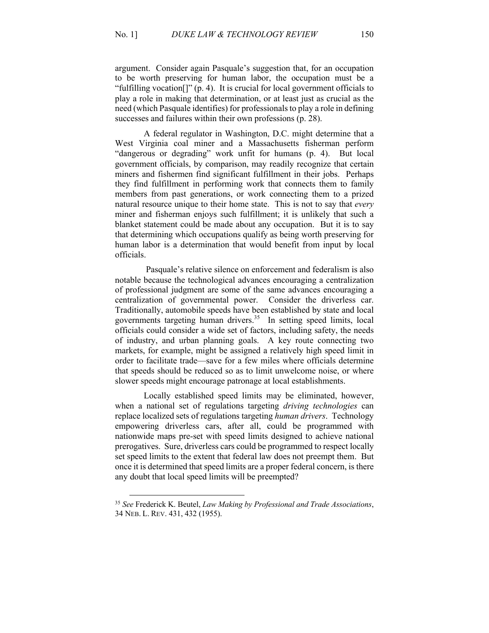argument. Consider again Pasquale's suggestion that, for an occupation to be worth preserving for human labor, the occupation must be a "fulfilling vocation[]" (p. 4). It is crucial for local government officials to play a role in making that determination, or at least just as crucial as the need (which Pasquale identifies) for professionals to play a role in defining successes and failures within their own professions (p. 28).

A federal regulator in Washington, D.C. might determine that a West Virginia coal miner and a Massachusetts fisherman perform "dangerous or degrading" work unfit for humans (p. 4). But local government officials, by comparison, may readily recognize that certain miners and fishermen find significant fulfillment in their jobs. Perhaps they find fulfillment in performing work that connects them to family members from past generations, or work connecting them to a prized natural resource unique to their home state. This is not to say that *every* miner and fisherman enjoys such fulfillment; it is unlikely that such a blanket statement could be made about any occupation. But it is to say that determining which occupations qualify as being worth preserving for human labor is a determination that would benefit from input by local officials.

Pasquale's relative silence on enforcement and federalism is also notable because the technological advances encouraging a centralization of professional judgment are some of the same advances encouraging a centralization of governmental power. Consider the driverless car. Traditionally, automobile speeds have been established by state and local governments targeting human drivers.<sup>35</sup> In setting speed limits, local officials could consider a wide set of factors, including safety, the needs of industry, and urban planning goals. A key route connecting two markets, for example, might be assigned a relatively high speed limit in order to facilitate trade—save for a few miles where officials determine that speeds should be reduced so as to limit unwelcome noise, or where slower speeds might encourage patronage at local establishments.

Locally established speed limits may be eliminated, however, when a national set of regulations targeting *driving technologies* can replace localized sets of regulations targeting *human drivers*. Technology empowering driverless cars, after all, could be programmed with nationwide maps pre-set with speed limits designed to achieve national prerogatives. Sure, driverless cars could be programmed to respect locally set speed limits to the extent that federal law does not preempt them. But once it is determined that speed limits are a proper federal concern, is there any doubt that local speed limits will be preempted?

<sup>35</sup> *See* Frederick K. Beutel, *Law Making by Professional and Trade Associations*, 34 NEB. L. REV. 431, 432 (1955).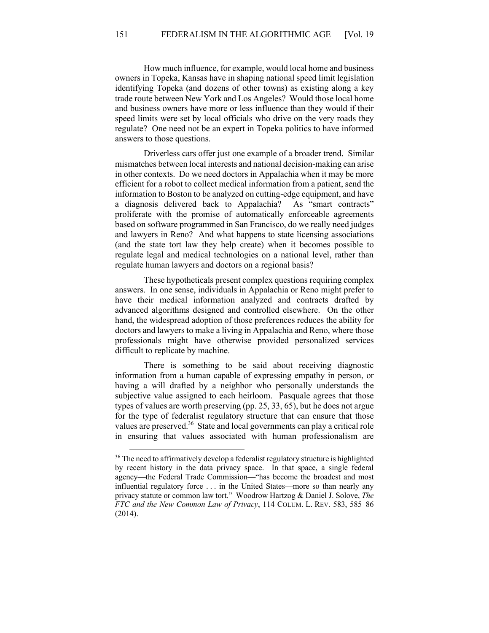How much influence, for example, would local home and business owners in Topeka, Kansas have in shaping national speed limit legislation identifying Topeka (and dozens of other towns) as existing along a key trade route between New York and Los Angeles? Would those local home and business owners have more or less influence than they would if their speed limits were set by local officials who drive on the very roads they regulate? One need not be an expert in Topeka politics to have informed answers to those questions.

Driverless cars offer just one example of a broader trend. Similar mismatches between local interests and national decision-making can arise in other contexts. Do we need doctors in Appalachia when it may be more efficient for a robot to collect medical information from a patient, send the information to Boston to be analyzed on cutting-edge equipment, and have a diagnosis delivered back to Appalachia? As "smart contracts" proliferate with the promise of automatically enforceable agreements based on software programmed in San Francisco, do we really need judges and lawyers in Reno? And what happens to state licensing associations (and the state tort law they help create) when it becomes possible to regulate legal and medical technologies on a national level, rather than regulate human lawyers and doctors on a regional basis?

These hypotheticals present complex questions requiring complex answers. In one sense, individuals in Appalachia or Reno might prefer to have their medical information analyzed and contracts drafted by advanced algorithms designed and controlled elsewhere. On the other hand, the widespread adoption of those preferences reduces the ability for doctors and lawyers to make a living in Appalachia and Reno, where those professionals might have otherwise provided personalized services difficult to replicate by machine.

There is something to be said about receiving diagnostic information from a human capable of expressing empathy in person, or having a will drafted by a neighbor who personally understands the subjective value assigned to each heirloom. Pasquale agrees that those types of values are worth preserving (pp. 25, 33, 65), but he does not argue for the type of federalist regulatory structure that can ensure that those values are preserved.<sup>36</sup> State and local governments can play a critical role in ensuring that values associated with human professionalism are

<sup>&</sup>lt;sup>36</sup> The need to affirmatively develop a federalist regulatory structure is highlighted by recent history in the data privacy space. In that space, a single federal agency—the Federal Trade Commission—"has become the broadest and most influential regulatory force . . . in the United States—more so than nearly any privacy statute or common law tort." Woodrow Hartzog & Daniel J. Solove, *The FTC and the New Common Law of Privacy*, 114 COLUM. L. REV. 583, 585–86 (2014).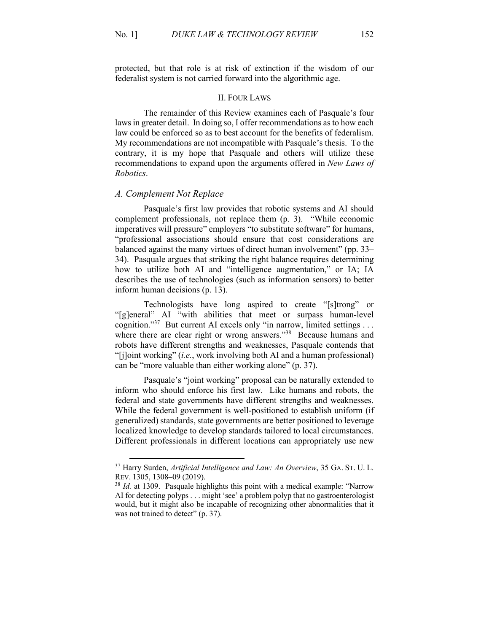protected, but that role is at risk of extinction if the wisdom of our federalist system is not carried forward into the algorithmic age.

#### II. FOUR LAWS

The remainder of this Review examines each of Pasquale's four laws in greater detail. In doing so, I offer recommendations as to how each law could be enforced so as to best account for the benefits of federalism. My recommendations are not incompatible with Pasquale's thesis. To the contrary, it is my hope that Pasquale and others will utilize these recommendations to expand upon the arguments offered in *New Laws of Robotics*.

#### *A. Complement Not Replace*

Pasquale's first law provides that robotic systems and AI should complement professionals, not replace them (p. 3). "While economic imperatives will pressure" employers "to substitute software" for humans, "professional associations should ensure that cost considerations are balanced against the many virtues of direct human involvement" (pp. 33– 34). Pasquale argues that striking the right balance requires determining how to utilize both AI and "intelligence augmentation," or IA; IA describes the use of technologies (such as information sensors) to better inform human decisions (p. 13).

Technologists have long aspired to create "[s]trong" or "[g]eneral" AI "with abilities that meet or surpass human-level cognition."<sup>37</sup> But current AI excels only "in narrow, limited settings . . . where there are clear right or wrong answers."<sup>38</sup> Because humans and robots have different strengths and weaknesses, Pasquale contends that "[j]oint working" (*i.e.*, work involving both AI and a human professional) can be "more valuable than either working alone" (p. 37).

Pasquale's "joint working" proposal can be naturally extended to inform who should enforce his first law. Like humans and robots, the federal and state governments have different strengths and weaknesses. While the federal government is well-positioned to establish uniform (if generalized) standards, state governments are better positioned to leverage localized knowledge to develop standards tailored to local circumstances. Different professionals in different locations can appropriately use new

<sup>37</sup> Harry Surden, *Artificial Intelligence and Law: An Overview*, 35 GA. ST. U. L. REV. 1305, 1308–09 (2019).

<sup>&</sup>lt;sup>38</sup> *Id.* at 1309. Pasquale highlights this point with a medical example: "Narrow AI for detecting polyps . . . might 'see' a problem polyp that no gastroenterologist would, but it might also be incapable of recognizing other abnormalities that it was not trained to detect" (p. 37).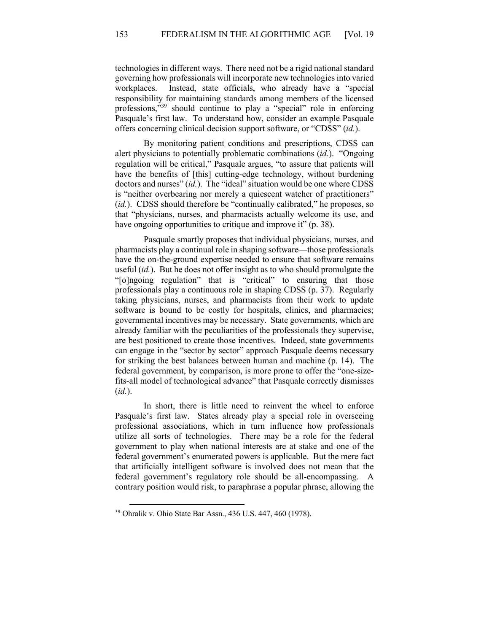technologies in different ways. There need not be a rigid national standard governing how professionals will incorporate new technologies into varied workplaces. Instead, state officials, who already have a "special responsibility for maintaining standards among members of the licensed professions,"<sup>39</sup> should continue to play a "special" role in enforcing Pasquale's first law. To understand how, consider an example Pasquale offers concerning clinical decision support software, or "CDSS" (*id.*).

By monitoring patient conditions and prescriptions, CDSS can alert physicians to potentially problematic combinations (*id.*). "Ongoing regulation will be critical," Pasquale argues, "to assure that patients will have the benefits of [this] cutting-edge technology, without burdening doctors and nurses" (*id.*). The "ideal" situation would be one where CDSS is "neither overbearing nor merely a quiescent watcher of practitioners" (*id.*). CDSS should therefore be "continually calibrated," he proposes, so that "physicians, nurses, and pharmacists actually welcome its use, and have ongoing opportunities to critique and improve it" (p. 38).

Pasquale smartly proposes that individual physicians, nurses, and pharmacists play a continual role in shaping software—those professionals have the on-the-ground expertise needed to ensure that software remains useful (*id.*). But he does not offer insight as to who should promulgate the "[o]ngoing regulation" that is "critical" to ensuring that those professionals play a continuous role in shaping CDSS (p. 37). Regularly taking physicians, nurses, and pharmacists from their work to update software is bound to be costly for hospitals, clinics, and pharmacies; governmental incentives may be necessary. State governments, which are already familiar with the peculiarities of the professionals they supervise, are best positioned to create those incentives. Indeed, state governments can engage in the "sector by sector" approach Pasquale deems necessary for striking the best balances between human and machine (p. 14). The federal government, by comparison, is more prone to offer the "one-sizefits-all model of technological advance" that Pasquale correctly dismisses (*id.*).

In short, there is little need to reinvent the wheel to enforce Pasquale's first law. States already play a special role in overseeing professional associations, which in turn influence how professionals utilize all sorts of technologies. There may be a role for the federal government to play when national interests are at stake and one of the federal government's enumerated powers is applicable. But the mere fact that artificially intelligent software is involved does not mean that the federal government's regulatory role should be all-encompassing. A contrary position would risk, to paraphrase a popular phrase, allowing the

<sup>39</sup> Ohralik v. Ohio State Bar Assn., 436 U.S. 447, 460 (1978).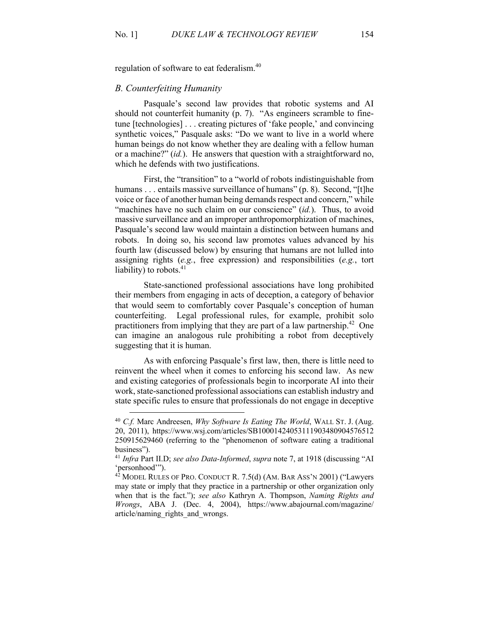regulation of software to eat federalism.<sup>40</sup>

## *B. Counterfeiting Humanity*

Pasquale's second law provides that robotic systems and AI should not counterfeit humanity (p. 7). "As engineers scramble to finetune [technologies] . . . creating pictures of 'fake people,' and convincing synthetic voices," Pasquale asks: "Do we want to live in a world where human beings do not know whether they are dealing with a fellow human or a machine?" (*id.*). He answers that question with a straightforward no, which he defends with two justifications.

First, the "transition" to a "world of robots indistinguishable from humans . . . entails massive surveillance of humans" (p. 8). Second, "[t]he voice or face of another human being demands respect and concern," while "machines have no such claim on our conscience" *(id.)*. Thus, to avoid massive surveillance and an improper anthropomorphization of machines, Pasquale's second law would maintain a distinction between humans and robots. In doing so, his second law promotes values advanced by his fourth law (discussed below) by ensuring that humans are not lulled into assigning rights (*e.g.*, free expression) and responsibilities (*e.g.*, tort liability) to robots.<sup>41</sup>

State-sanctioned professional associations have long prohibited their members from engaging in acts of deception, a category of behavior that would seem to comfortably cover Pasquale's conception of human counterfeiting. Legal professional rules, for example, prohibit solo practitioners from implying that they are part of a law partnership.<sup>42</sup> One can imagine an analogous rule prohibiting a robot from deceptively suggesting that it is human.

As with enforcing Pasquale's first law, then, there is little need to reinvent the wheel when it comes to enforcing his second law. As new and existing categories of professionals begin to incorporate AI into their work, state-sanctioned professional associations can establish industry and state specific rules to ensure that professionals do not engage in deceptive

<sup>40</sup> *C.f.* Marc Andreesen, *Why Software Is Eating The World*, WALL ST. J. (Aug. 20, 2011), https://www.wsj.com/articles/SB10001424053111903480904576512 250915629460 (referring to the "phenomenon of software eating a traditional business").

<sup>41</sup> *Infra* Part II.D; *see also Data-Informed*, *supra* note 7, at 1918 (discussing "AI 'personhood'").

 $42$  MODEL RULES OF PRO. CONDUCT R. 7.5(d) (AM. BAR ASS'N 2001) ("Lawyers may state or imply that they practice in a partnership or other organization only when that is the fact."); *see also* Kathryn A. Thompson, *Naming Rights and Wrongs*, ABA J. (Dec. 4, 2004), https://www.abajournal.com/magazine/ article/naming\_rights\_and\_wrongs.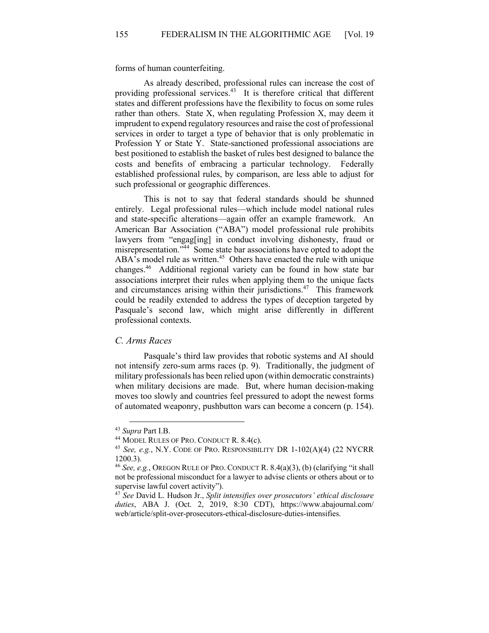forms of human counterfeiting.

As already described, professional rules can increase the cost of providing professional services.<sup>43</sup> It is therefore critical that different states and different professions have the flexibility to focus on some rules rather than others. State X, when regulating Profession X, may deem it imprudent to expend regulatory resources and raise the cost of professional services in order to target a type of behavior that is only problematic in Profession Y or State Y. State-sanctioned professional associations are best positioned to establish the basket of rules best designed to balance the costs and benefits of embracing a particular technology. Federally established professional rules, by comparison, are less able to adjust for such professional or geographic differences.

This is not to say that federal standards should be shunned entirely. Legal professional rules—which include model national rules and state-specific alterations—again offer an example framework. An American Bar Association ("ABA") model professional rule prohibits lawyers from "engag[ing] in conduct involving dishonesty, fraud or misrepresentation."<sup>44</sup> Some state bar associations have opted to adopt the  $\overrightarrow{ABA}$ 's model rule as written.<sup>45</sup> Others have enacted the rule with unique changes.46 Additional regional variety can be found in how state bar associations interpret their rules when applying them to the unique facts and circumstances arising within their jurisdictions.<sup>47</sup> This framework could be readily extended to address the types of deception targeted by Pasquale's second law, which might arise differently in different professional contexts.

### *C. Arms Races*

Pasquale's third law provides that robotic systems and AI should not intensify zero-sum arms races (p. 9). Traditionally, the judgment of military professionals has been relied upon (within democratic constraints) when military decisions are made. But, where human decision-making moves too slowly and countries feel pressured to adopt the newest forms of automated weaponry, pushbutton wars can become a concern (p. 154).

<sup>43</sup> *Supra* Part I.B.

<sup>&</sup>lt;sup>44</sup> MODEL RULES OF PRO. CONDUCT R. 8.4(c).

<sup>45</sup> *See, e.g.*, N.Y. CODE OF PRO. RESPONSIBILITY DR 1-102(A)(4) (22 NYCRR 1200.3).

<sup>46</sup> *See, e.g.*, OREGON RULE OF PRO. CONDUCT R. 8.4(a)(3), (b) (clarifying "it shall not be professional misconduct for a lawyer to advise clients or others about or to supervise lawful covert activity").

<sup>47</sup> *See* David L. Hudson Jr., *Split intensifies over prosecutors' ethical disclosure duties*, ABA J. (Oct. 2, 2019, 8:30 CDT), https://www.abajournal.com/ web/article/split-over-prosecutors-ethical-disclosure-duties-intensifies.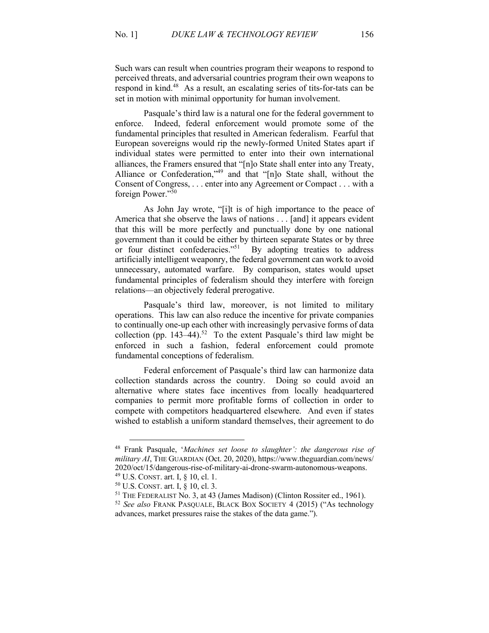Such wars can result when countries program their weapons to respond to perceived threats, and adversarial countries program their own weapons to respond in kind.<sup>48</sup> As a result, an escalating series of tits-for-tats can be set in motion with minimal opportunity for human involvement.

Pasquale's third law is a natural one for the federal government to enforce. Indeed, federal enforcement would promote some of the fundamental principles that resulted in American federalism. Fearful that European sovereigns would rip the newly-formed United States apart if individual states were permitted to enter into their own international alliances, the Framers ensured that "[n]o State shall enter into any Treaty, Alliance or Confederation,"<sup>49</sup> and that "[n]o State shall, without the Consent of Congress, . . . enter into any Agreement or Compact . . . with a foreign Power."50

As John Jay wrote, "[i]t is of high importance to the peace of America that she observe the laws of nations . . . [and] it appears evident that this will be more perfectly and punctually done by one national government than it could be either by thirteen separate States or by three or four distinct confederacies."<sup>51</sup> By adopting treaties to address artificially intelligent weaponry, the federal government can work to avoid unnecessary, automated warfare. By comparison, states would upset fundamental principles of federalism should they interfere with foreign relations—an objectively federal prerogative.

Pasquale's third law, moreover, is not limited to military operations. This law can also reduce the incentive for private companies to continually one-up each other with increasingly pervasive forms of data collection (pp. 143–44).<sup>52</sup> To the extent Pasquale's third law might be enforced in such a fashion, federal enforcement could promote fundamental conceptions of federalism.

Federal enforcement of Pasquale's third law can harmonize data collection standards across the country. Doing so could avoid an alternative where states face incentives from locally headquartered companies to permit more profitable forms of collection in order to compete with competitors headquartered elsewhere. And even if states wished to establish a uniform standard themselves, their agreement to do

<sup>48</sup> Frank Pasquale, '*Machines set loose to slaughter': the dangerous rise of military AI*, THE GUARDIAN (Oct. 20, 2020), https://www.theguardian.com/news/ 2020/oct/15/dangerous-rise-of-military-ai-drone-swarm-autonomous-weapons.

<sup>49</sup> U.S. CONST. art. I, § 10, cl. 1.

<sup>50</sup> U.S. CONST. art. I, § 10, cl. 3.

<sup>&</sup>lt;sup>51</sup> THE FEDERALIST No. 3, at 43 (James Madison) (Clinton Rossiter ed., 1961).

<sup>52</sup> *See also* FRANK PASQUALE, BLACK BOX SOCIETY 4 (2015) ("As technology advances, market pressures raise the stakes of the data game.").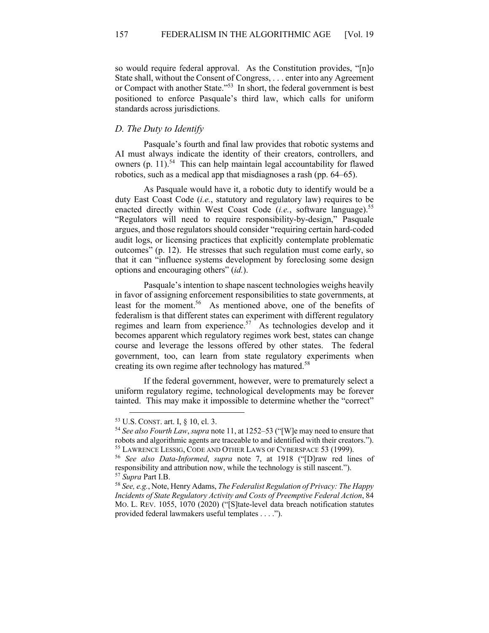so would require federal approval. As the Constitution provides, "[n]o State shall, without the Consent of Congress, . . . enter into any Agreement or Compact with another State."53 In short, the federal government is best positioned to enforce Pasquale's third law, which calls for uniform standards across jurisdictions.

# *D. The Duty to Identify*

Pasquale's fourth and final law provides that robotic systems and AI must always indicate the identity of their creators, controllers, and owners  $(p. 11).<sup>54</sup>$  This can help maintain legal accountability for flawed robotics, such as a medical app that misdiagnoses a rash (pp. 64–65).

As Pasquale would have it, a robotic duty to identify would be a duty East Coast Code (*i.e.*, statutory and regulatory law) requires to be enacted directly within West Coast Code (*i.e.*, software language).<sup>55</sup> "Regulators will need to require responsibility-by-design," Pasquale argues, and those regulators should consider "requiring certain hard-coded audit logs, or licensing practices that explicitly contemplate problematic outcomes" (p. 12). He stresses that such regulation must come early, so that it can "influence systems development by foreclosing some design options and encouraging others" (*id.*).

Pasquale's intention to shape nascent technologies weighs heavily in favor of assigning enforcement responsibilities to state governments, at least for the moment.<sup>56</sup> As mentioned above, one of the benefits of federalism is that different states can experiment with different regulatory regimes and learn from experience.<sup>57</sup> As technologies develop and it becomes apparent which regulatory regimes work best, states can change course and leverage the lessons offered by other states. The federal government, too, can learn from state regulatory experiments when creating its own regime after technology has matured.<sup>58</sup>

If the federal government, however, were to prematurely select a uniform regulatory regime, technological developments may be forever tainted. This may make it impossible to determine whether the "correct"

<sup>53</sup> U.S. CONST. art. I, § 10, cl. 3.

<sup>54</sup> *See also Fourth Law*, *supra* note 11, at 1252–53 ("[W]e may need to ensure that robots and algorithmic agents are traceable to and identified with their creators."). <sup>55</sup> LAWRENCE LESSIG, CODE AND OTHER LAWS OF CYBERSPACE 53 (1999).

<sup>56</sup> *See also Data-Informed*, *supra* note 7, at 1918 ("[D]raw red lines of responsibility and attribution now, while the technology is still nascent."). <sup>57</sup> *Supra* Part I.B.

<sup>58</sup> *See, e.g.*, Note, Henry Adams, *The Federalist Regulation of Privacy: The Happy Incidents of State Regulatory Activity and Costs of Preemptive Federal Action*, 84 MO. L. REV. 1055, 1070 (2020) ("[S]tate-level data breach notification statutes provided federal lawmakers useful templates . . . .").